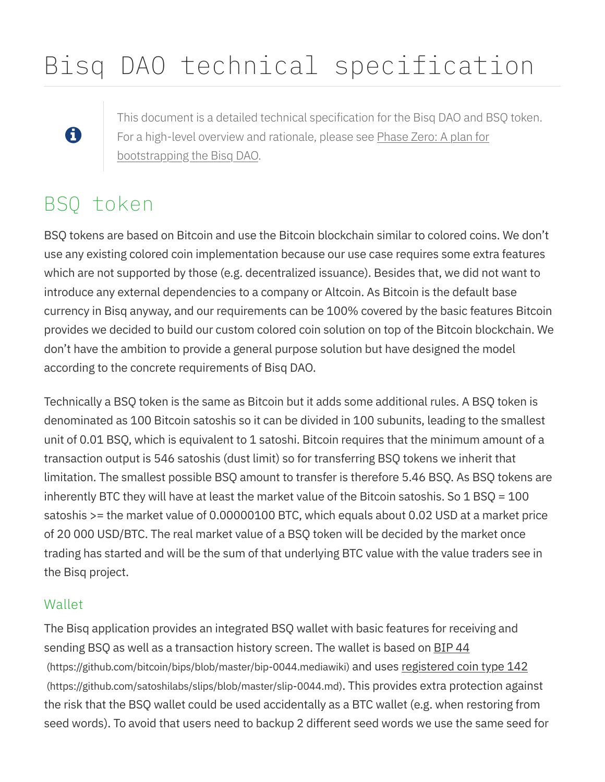# Bisq DAO technical specification

#### This document is a detailed technical specification for the Bisq DAO and BSQ token. For a high-level overview and rationale, please see Phase Zero: A plan for bootstrapping the Bisq DAO.

## BSQ token

6

BSQ tokens are based on Bitcoin and use the Bitcoin blockchain similar to colored coins. We don't use any existing colored coin implementation because our use case requires some extra features which are not supported by those (e.g. decentralized issuance). Besides that, we did not want to introduce any external dependencies to a company or Altcoin. As Bitcoin is the default base currency in Bisq anyway, and our requirements can be 100% covered by the basic features Bitcoin provides we decided to build our custom colored coin solution on top of the Bitcoin blockchain. We don't have the ambition to provide a general purpose solution but have designed the model according to the concrete requirements of Bisq DAO.

Technically a BSQ token is the same as Bitcoin but it adds some additional rules. A BSQ token is denominated as 100 Bitcoin satoshis so it can be divided in 100 subunits, leading to the smallest unit of 0.01 BSQ, which is equivalent to 1 satoshi. Bitcoin requires that the minimum amount of a transaction output is 546 satoshis (dust limit) so for transferring BSQ tokens we inherit that limitation. The smallest possible BSQ amount to transfer is therefore 5.46 BSQ. As BSQ tokens are inherently BTC they will have at least the market value of the Bitcoin satoshis. So  $1$  BSQ = 100 satoshis >= the market value of 0.00000100 BTC, which equals about 0.02 USD at a market price of 20 000 USD/BTC. The real market value of a BSQ token will be decided by the market once trading has started and will be the sum of that underlying BTC value with the value traders see in the Bisq project.

#### Wallet

The Bisq application provides an integrated BSQ wallet with basic features for receiving and sending BSQ as well as a transaction history screen. The wallet is based on BIP 44 (https://github.com/bitcoin/bips/blob/master/bip-0044.mediawiki) and uses registered coin type 142 (https://github.com/satoshilabs/slips/blob/master/slip-0044.md). This provides extra protection against the risk that the BSQ wallet could be used accidentally as a BTC wallet (e.g. when restoring from seed words). To avoid that users need to backup 2 different seed words we use the same seed for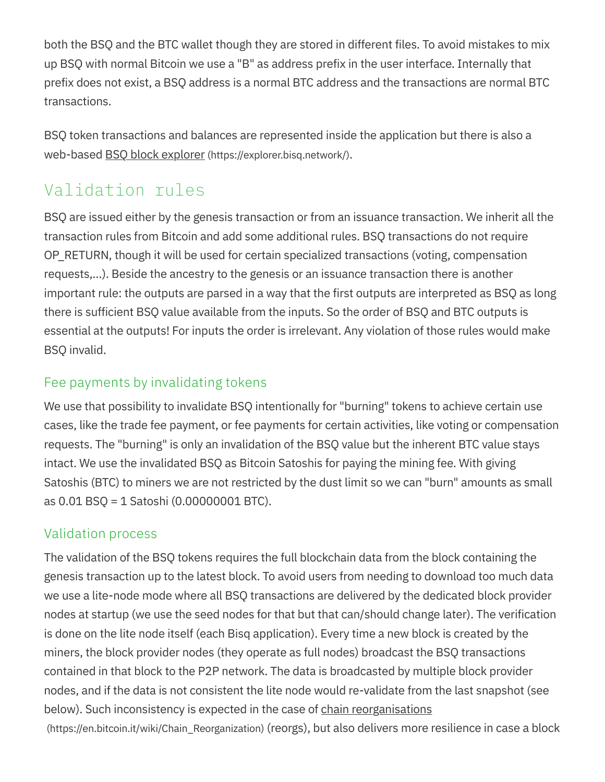both the BSQ and the BTC wallet though they are stored in different files. To avoid mistakes to mix up BSQ with normal Bitcoin we use a "B" as address prefix in the user interface. Internally that prefix does not exist, a BSQ address is a normal BTC address and the transactions are normal BTC transactions.

BSQ token transactions and balances are represented inside the application but there is also a web-based BSQ block explorer (https://explorer.bisq.network/).

## Validation rules

BSQ are issued either by the genesis transaction or from an issuance transaction. We inherit all the transaction rules from Bitcoin and add some additional rules. BSQ transactions do not require OP\_RETURN, though it will be used for certain specialized transactions (voting, compensation requests,…). Beside the ancestry to the genesis or an issuance transaction there is another important rule: the outputs are parsed in a way that the first outputs are interpreted as BSQ as long there is sufficient BSQ value available from the inputs. So the order of BSQ and BTC outputs is essential at the outputs! For inputs the order is irrelevant. Any violation of those rules would make BSQ invalid.

#### Fee payments by invalidating tokens

We use that possibility to invalidate BSQ intentionally for "burning" tokens to achieve certain use cases, like the trade fee payment, or fee payments for certain activities, like voting or compensation requests. The "burning" is only an invalidation of the BSQ value but the inherent BTC value stays intact. We use the invalidated BSQ as Bitcoin Satoshis for paying the mining fee. With giving Satoshis (BTC) to miners we are not restricted by the dust limit so we can "burn" amounts as small as 0.01 BSQ = 1 Satoshi (0.00000001 BTC).

#### Validation process

The validation of the BSQ tokens requires the full blockchain data from the block containing the genesis transaction up to the latest block. To avoid users from needing to download too much data we use a lite-node mode where all BSQ transactions are delivered by the dedicated block provider nodes at startup (we use the seed nodes for that but that can/should change later). The verification is done on the lite node itself (each Bisq application). Every time a new block is created by the miners, the block provider nodes (they operate as full nodes) broadcast the BSQ transactions contained in that block to the P2P network. The data is broadcasted by multiple block provider nodes, and if the data is not consistent the lite node would re-validate from the last snapshot (see below). Such inconsistency is expected in the case of chain reorganisations (https://en.bitcoin.it/wiki/Chain\_Reorganization) (reorgs), but also delivers more resilience in case a block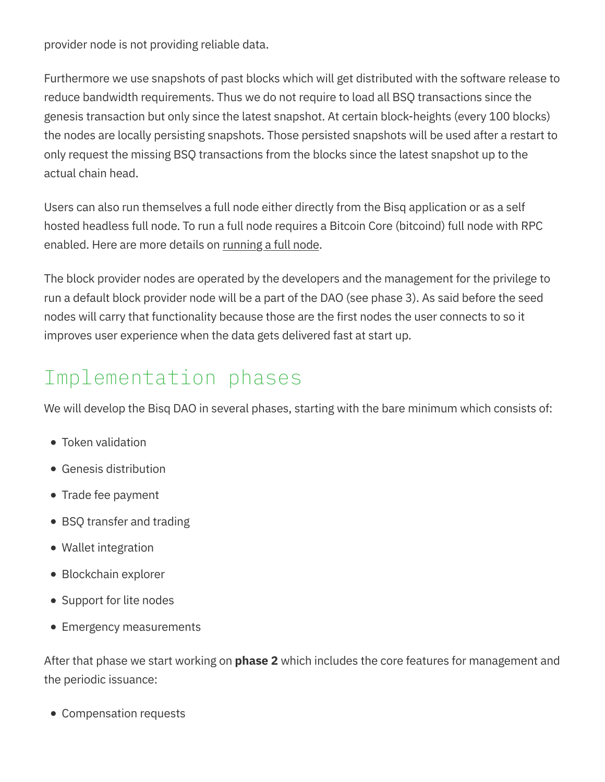provider node is not providing reliable data.

Furthermore we use snapshots of past blocks which will get distributed with the software release to reduce bandwidth requirements. Thus we do not require to load all BSQ transactions since the genesis transaction but only since the latest snapshot. At certain block-heights (every 100 blocks) the nodes are locally persisting snapshots. Those persisted snapshots will be used after a restart to only request the missing BSQ transactions from the blocks since the latest snapshot up to the actual chain head.

Users can also run themselves a full node either directly from the Bisq application or as a self hosted headless full node. To run a full node requires a Bitcoin Core (bitcoind) full node with RPC enabled. Here are more details on running a full node.

The block provider nodes are operated by the developers and the management for the privilege to run a default block provider node will be a part of the DAO (see phase 3). As said before the seed nodes will carry that functionality because those are the first nodes the user connects to so it improves user experience when the data gets delivered fast at start up.

## Implementation phases

We will develop the Bisq DAO in several phases, starting with the bare minimum which consists of:

- Token validation
- Genesis distribution
- Trade fee payment
- BSQ transfer and trading
- Wallet integration
- Blockchain explorer
- Support for lite nodes
- Emergency measurements

After that phase we start working on **phase 2** which includes the core features for management and the periodic issuance:

Compensation requests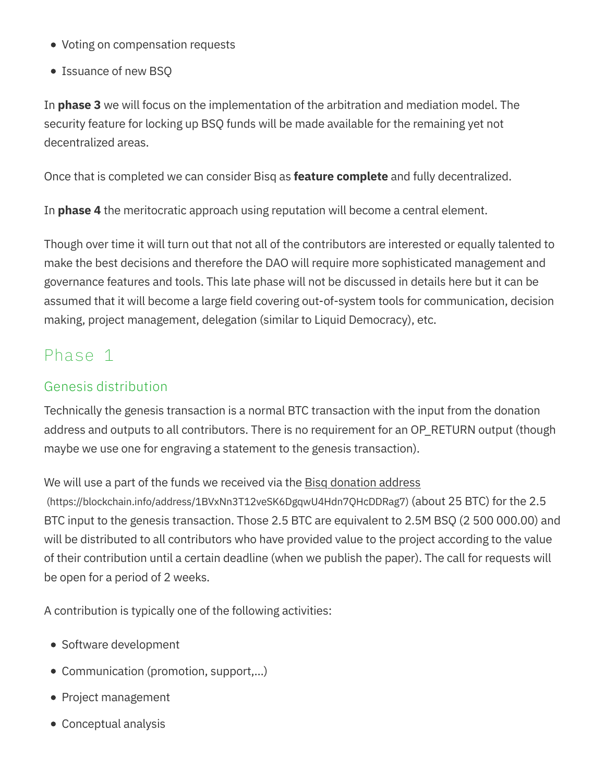- Voting on compensation requests
- Issuance of new BSQ

In **phase 3** we will focus on the implementation of the arbitration and mediation model. The security feature for locking up BSQ funds will be made available for the remaining yet not decentralized areas.

Once that is completed we can consider Bisq as **feature complete** and fully decentralized.

In **phase 4** the meritocratic approach using reputation will become a central element.

Though over time it will turn out that not all of the contributors are interested or equally talented to make the best decisions and therefore the DAO will require more sophisticated management and governance features and tools. This late phase will not be discussed in details here but it can be assumed that it will become a large field covering out-of-system tools for communication, decision making, project management, delegation (similar to Liquid Democracy), etc.

## Phase 1

#### Genesis distribution

Technically the genesis transaction is a normal BTC transaction with the input from the donation address and outputs to all contributors. There is no requirement for an OP\_RETURN output (though maybe we use one for engraving a statement to the genesis transaction).

We will use a part of the funds we received via the Bisq donation address

(https://blockchain.info/address/1BVxNn3T12veSK6DgqwU4Hdn7QHcDDRag7) (about 25 BTC) for the 2.5 BTC input to the genesis transaction. Those 2.5 BTC are equivalent to 2.5M BSQ (2 500 000.00) and will be distributed to all contributors who have provided value to the project according to the value of their contribution until a certain deadline (when we publish the paper). The call for requests will be open for a period of 2 weeks.

A contribution is typically one of the following activities:

- Software development
- Communication (promotion, support,…)
- Project management
- Conceptual analysis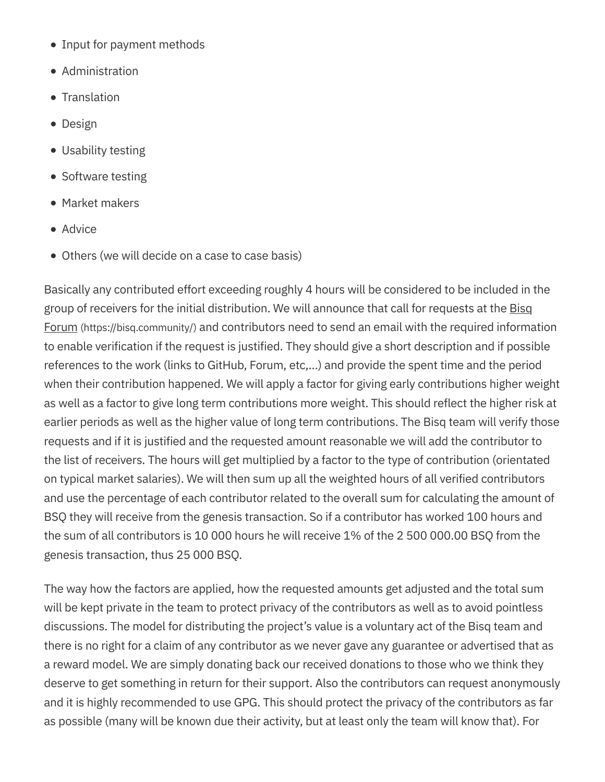- Input for payment methods
- Administration
- Translation
- Design
- Usability testing
- Software testing
- Market makers
- Advice
- Others (we will decide on a case to case basis)

Basically any contributed effort exceeding roughly 4 hours will be considered to be included in the group of receivers for the initial distribution. We will announce that call for requests at the Bisq Forum (https://bisq.community/) and contributors need to send an email with the required information to enable verification if the request is justified. They should give a short description and if possible references to the work (links to GitHub, Forum, etc,…) and provide the spent time and the period when their contribution happened. We will apply a factor for giving early contributions higher weight as well as a factor to give long term contributions more weight. This should reflect the higher risk at earlier periods as well as the higher value of long term contributions. The Bisq team will verify those requests and if it is justified and the requested amount reasonable we will add the contributor to the list of receivers. The hours will get multiplied by a factor to the type of contribution (orientated on typical market salaries). We will then sum up all the weighted hours of all verified contributors and use the percentage of each contributor related to the overall sum for calculating the amount of BSQ they will receive from the genesis transaction. So if a contributor has worked 100 hours and the sum of all contributors is 10 000 hours he will receive 1% of the 2 500 000.00 BSQ from the genesis transaction, thus 25 000 BSQ.

The way how the factors are applied, how the requested amounts get adjusted and the total sum will be kept private in the team to protect privacy of the contributors as well as to avoid pointless discussions. The model for distributing the project's value is a voluntary act of the Bisq team and there is no right for a claim of any contributor as we never gave any guarantee or advertised that as a reward model. We are simply donating back our received donations to those who we think they deserve to get something in return for their support. Also the contributors can request anonymously and it is highly recommended to use GPG. This should protect the privacy of the contributors as far as possible (many will be known due their activity, but at least only the team will know that). For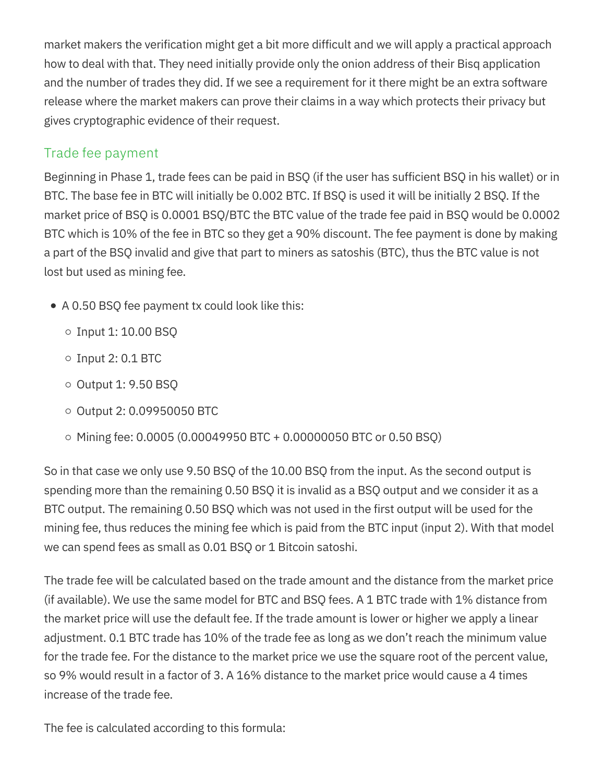market makers the verification might get a bit more difficult and we will apply a practical approach how to deal with that. They need initially provide only the onion address of their Bisq application and the number of trades they did. If we see a requirement for it there might be an extra software release where the market makers can prove their claims in a way which protects their privacy but gives cryptographic evidence of their request.

#### Trade fee payment

Beginning in Phase 1, trade fees can be paid in BSQ (if the user has sufficient BSQ in his wallet) or in BTC. The base fee in BTC will initially be 0.002 BTC. If BSQ is used it will be initially 2 BSQ. If the market price of BSQ is 0.0001 BSQ/BTC the BTC value of the trade fee paid in BSQ would be 0.0002 BTC which is 10% of the fee in BTC so they get a 90% discount. The fee payment is done by making a part of the BSQ invalid and give that part to miners as satoshis (BTC), thus the BTC value is not lost but used as mining fee.

- A 0.50 BSQ fee payment tx could look like this:
	- $\circ$  Input 1: 10.00 BSQ
	- $\circ$  Input 2: 0.1 BTC
	- $\circ$  Output 1: 9.50 BSQ
	- $\circ$  Output 2: 0.09950050 BTC
	- $\circ$  Mining fee: 0.0005 (0.00049950 BTC + 0.00000050 BTC or 0.50 BSQ)

So in that case we only use 9.50 BSQ of the 10.00 BSQ from the input. As the second output is spending more than the remaining 0.50 BSQ it is invalid as a BSQ output and we consider it as a BTC output. The remaining 0.50 BSQ which was not used in the first output will be used for the mining fee, thus reduces the mining fee which is paid from the BTC input (input 2). With that model we can spend fees as small as 0.01 BSQ or 1 Bitcoin satoshi.

The trade fee will be calculated based on the trade amount and the distance from the market price (if available). We use the same model for BTC and BSQ fees. A 1 BTC trade with 1% distance from the market price will use the default fee. If the trade amount is lower or higher we apply a linear adjustment. 0.1 BTC trade has 10% of the trade fee as long as we don't reach the minimum value for the trade fee. For the distance to the market price we use the square root of the percent value, so 9% would result in a factor of 3. A 16% distance to the market price would cause a 4 times increase of the trade fee.

The fee is calculated according to this formula: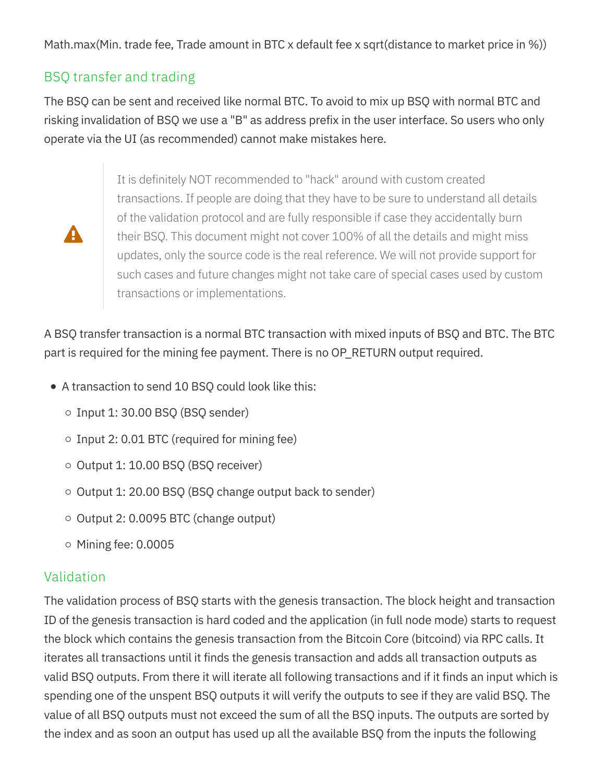Math.max(Min. trade fee, Trade amount in BTC x default fee x sqrt(distance to market price in %))

#### BSQ transfer and trading

The BSQ can be sent and received like normal BTC. To avoid to mix up BSQ with normal BTC and risking invalidation of BSQ we use a "B" as address prefix in the user interface. So users who only operate via the UI (as recommended) cannot make mistakes here.

 $\blacktriangle$ 

It is definitely NOT recommended to "hack" around with custom created transactions. If people are doing that they have to be sure to understand all details of the validation protocol and are fully responsible if case they accidentally burn their BSQ. This document might not cover 100% of all the details and might miss updates, only the source code is the real reference. We will not provide support for such cases and future changes might not take care of special cases used by custom transactions or implementations.

A BSQ transfer transaction is a normal BTC transaction with mixed inputs of BSQ and BTC. The BTC part is required for the mining fee payment. There is no OP\_RETURN output required.

- A transaction to send 10 BSQ could look like this:
	- $\circ$  Input 1: 30.00 BSQ (BSQ sender)
	- $\circ$  Input 2: 0.01 BTC (required for mining fee)
	- $\circ$  Output 1: 10.00 BSQ (BSQ receiver)
	- Output 1: 20.00 BSQ (BSQ change output back to sender)
	- $\circ$  Output 2: 0.0095 BTC (change output)
	- $\circ$  Mining fee: 0.0005

#### Validation

The validation process of BSQ starts with the genesis transaction. The block height and transaction ID of the genesis transaction is hard coded and the application (in full node mode) starts to request the block which contains the genesis transaction from the Bitcoin Core (bitcoind) via RPC calls. It iterates all transactions until it finds the genesis transaction and adds all transaction outputs as valid BSQ outputs. From there it will iterate all following transactions and if it finds an input which is spending one of the unspent BSQ outputs it will verify the outputs to see if they are valid BSQ. The value of all BSQ outputs must not exceed the sum of all the BSQ inputs. The outputs are sorted by the index and as soon an output has used up all the available BSQ from the inputs the following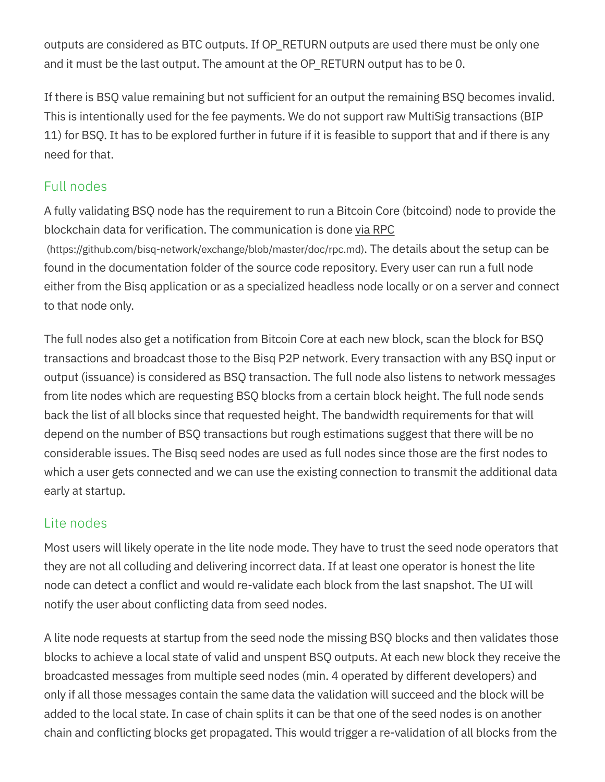outputs are considered as BTC outputs. If OP\_RETURN outputs are used there must be only one and it must be the last output. The amount at the OP\_RETURN output has to be 0.

If there is BSQ value remaining but not sufficient for an output the remaining BSQ becomes invalid. This is intentionally used for the fee payments. We do not support raw MultiSig transactions (BIP 11) for BSQ. It has to be explored further in future if it is feasible to support that and if there is any need for that.

#### Full nodes

A fully validating BSQ node has the requirement to run a Bitcoin Core (bitcoind) node to provide the blockchain data for verification. The communication is done via RPC (https://github.com/bisq-network/exchange/blob/master/doc/rpc.md). The details about the setup can be found in the documentation folder of the source code repository. Every user can run a full node either from the Bisq application or as a specialized headless node locally or on a server and connect to that node only.

The full nodes also get a notification from Bitcoin Core at each new block, scan the block for BSQ transactions and broadcast those to the Bisq P2P network. Every transaction with any BSQ input or output (issuance) is considered as BSQ transaction. The full node also listens to network messages from lite nodes which are requesting BSQ blocks from a certain block height. The full node sends back the list of all blocks since that requested height. The bandwidth requirements for that will depend on the number of BSQ transactions but rough estimations suggest that there will be no considerable issues. The Bisq seed nodes are used as full nodes since those are the first nodes to which a user gets connected and we can use the existing connection to transmit the additional data early at startup.

#### Lite nodes

Most users will likely operate in the lite node mode. They have to trust the seed node operators that they are not all colluding and delivering incorrect data. If at least one operator is honest the lite node can detect a conflict and would re-validate each block from the last snapshot. The UI will notify the user about conflicting data from seed nodes.

A lite node requests at startup from the seed node the missing BSQ blocks and then validates those blocks to achieve a local state of valid and unspent BSQ outputs. At each new block they receive the broadcasted messages from multiple seed nodes (min. 4 operated by different developers) and only if all those messages contain the same data the validation will succeed and the block will be added to the local state. In case of chain splits it can be that one of the seed nodes is on another chain and conflicting blocks get propagated. This would trigger a re-validation of all blocks from the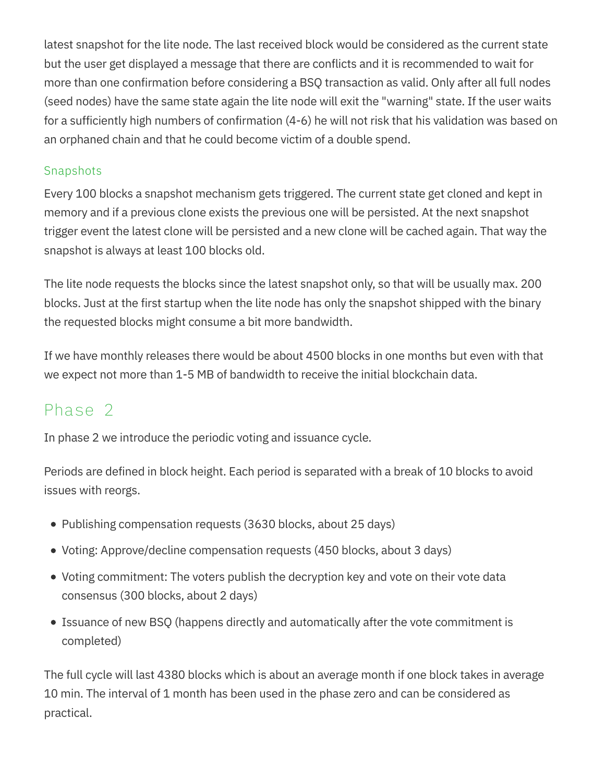latest snapshot for the lite node. The last received block would be considered as the current state but the user get displayed a message that there are conflicts and it is recommended to wait for more than one confirmation before considering a BSQ transaction as valid. Only after all full nodes (seed nodes) have the same state again the lite node will exit the "warning" state. If the user waits for a sufficiently high numbers of confirmation (4-6) he will not risk that his validation was based on an orphaned chain and that he could become victim of a double spend.

#### Snapshots

Every 100 blocks a snapshot mechanism gets triggered. The current state get cloned and kept in memory and if a previous clone exists the previous one will be persisted. At the next snapshot trigger event the latest clone will be persisted and a new clone will be cached again. That way the snapshot is always at least 100 blocks old.

The lite node requests the blocks since the latest snapshot only, so that will be usually max. 200 blocks. Just at the first startup when the lite node has only the snapshot shipped with the binary the requested blocks might consume a bit more bandwidth.

If we have monthly releases there would be about 4500 blocks in one months but even with that we expect not more than 1-5 MB of bandwidth to receive the initial blockchain data.

### Phase 2

In phase 2 we introduce the periodic voting and issuance cycle.

Periods are defined in block height. Each period is separated with a break of 10 blocks to avoid issues with reorgs.

- Publishing compensation requests (3630 blocks, about 25 days)
- Voting: Approve/decline compensation requests (450 blocks, about 3 days)
- Voting commitment: The voters publish the decryption key and vote on their vote data consensus (300 blocks, about 2 days)
- Issuance of new BSQ (happens directly and automatically after the vote commitment is completed)

The full cycle will last 4380 blocks which is about an average month if one block takes in average 10 min. The interval of 1 month has been used in the phase zero and can be considered as practical.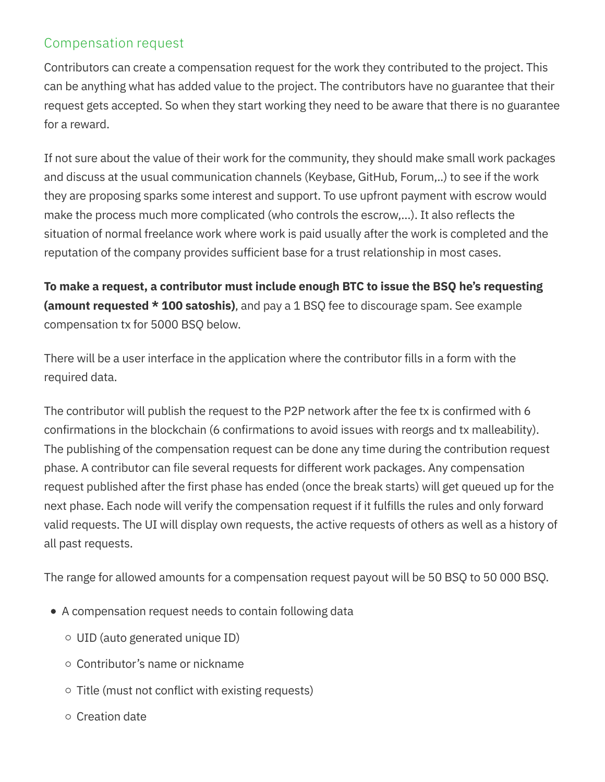#### Compensation request

Contributors can create a compensation request for the work they contributed to the project. This can be anything what has added value to the project. The contributors have no guarantee that their request gets accepted. So when they start working they need to be aware that there is no guarantee for a reward.

If not sure about the value of their work for the community, they should make small work packages and discuss at the usual communication channels (Keybase, GitHub, Forum,..) to see if the work they are proposing sparks some interest and support. To use upfront payment with escrow would make the process much more complicated (who controls the escrow,…). It also reflects the situation of normal freelance work where work is paid usually after the work is completed and the reputation of the company provides sufficient base for a trust relationship in most cases.

To make a request, a contributor must include enough BTC to issue the BSQ he's requesting (amount requested  $*$  100 satoshis), and pay a 1 BSQ fee to discourage spam. See example compensation tx for 5000 BSQ below.

There will be a user interface in the application where the contributor fills in a form with the required data.

The contributor will publish the request to the P2P network after the fee tx is confirmed with 6 confirmations in the blockchain (6 confirmations to avoid issues with reorgs and tx malleability). The publishing of the compensation request can be done any time during the contribution request phase. A contributor can file several requests for different work packages. Any compensation request published after the first phase has ended (once the break starts) will get queued up for the next phase. Each node will verify the compensation request if it fulfills the rules and only forward valid requests. The UI will display own requests, the active requests of others as well as a history of all past requests.

The range for allowed amounts for a compensation request payout will be 50 BSQ to 50 000 BSQ.

- A compensation request needs to contain following data
	- UID (auto generated unique ID)
	- Contributor's name or nickname
	- $\circ$  Title (must not conflict with existing requests)
	- $\circ$  Creation date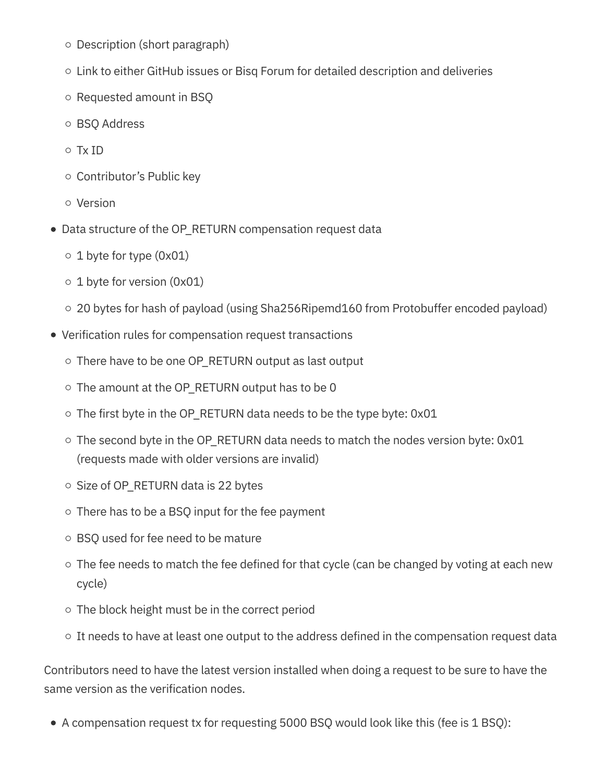- $\circ$  Description (short paragraph)
- $\circ$  Link to either GitHub issues or Bisq Forum for detailed description and deliveries
- $\circ$  Requested amount in BSQ
- o BSQ Address
- Tx ID
- $\circ$  Contributor's Public key
- Version
- Data structure of the OP\_RETURN compensation request data
	- $\circ$  1 byte for type (0x01)
	- $\circ$  1 byte for version (0x01)
	- 20 bytes for hash of payload (using Sha256Ripemd160 from Protobuffer encoded payload)
- Verification rules for compensation request transactions
	- $\circ$  There have to be one OP RETURN output as last output
	- $\circ$  The amount at the OP\_RETURN output has to be 0
	- $\circ$  The first byte in the OP\_RETURN data needs to be the type byte: 0x01
	- $\circ$  The second byte in the OP\_RETURN data needs to match the nodes version byte: 0x01 (requests made with older versions are invalid)
	- $\circ$  Size of OP\_RETURN data is 22 bytes
	- $\circ$  There has to be a BSQ input for the fee payment
	- BSQ used for fee need to be mature
	- $\circ$  The fee needs to match the fee defined for that cycle (can be changed by voting at each new cycle)
	- $\circ$  The block height must be in the correct period
	- $\circ$  It needs to have at least one output to the address defined in the compensation request data

Contributors need to have the latest version installed when doing a request to be sure to have the same version as the verification nodes.

A compensation request tx for requesting 5000 BSQ would look like this (fee is 1 BSQ):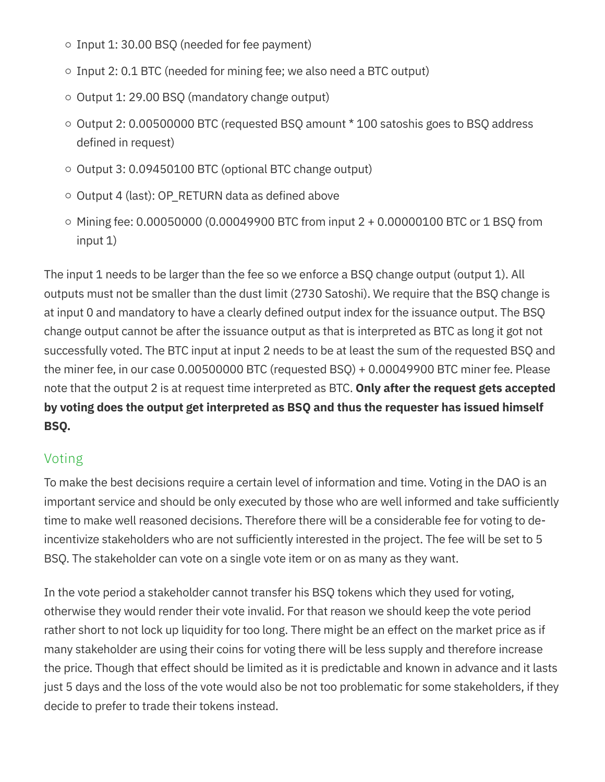- $\circ$  Input 1: 30.00 BSQ (needed for fee payment)
- $\circ$  Input 2: 0.1 BTC (needed for mining fee; we also need a BTC output)
- $\circ$  Output 1: 29.00 BSQ (mandatory change output)
- $\circ$  Output 2: 0.00500000 BTC (requested BSQ amount  $*$  100 satoshis goes to BSQ address defined in request)
- $\circ$  Output 3: 0.09450100 BTC (optional BTC change output)
- $\circ$  Output 4 (last): OP\_RETURN data as defined above
- $\circ$  Mining fee: 0.00050000 (0.00049900 BTC from input 2 + 0.00000100 BTC or 1 BSQ from input 1)

The input 1 needs to be larger than the fee so we enforce a BSQ change output (output 1). All outputs must not be smaller than the dust limit (2730 Satoshi). We require that the BSQ change is at input 0 and mandatory to have a clearly defined output index for the issuance output. The BSQ change output cannot be after the issuance output as that is interpreted as BTC as long it got not successfully voted. The BTC input at input 2 needs to be at least the sum of the requested BSQ and the miner fee, in our case 0.00500000 BTC (requested BSQ) + 0.00049900 BTC miner fee. Please note that the output 2 is at request time interpreted as BTC. Only after the request gets accepted by voting does the output get interpreted as BSQ and thus the requester has issued himself BSQ.

#### Voting

To make the best decisions require a certain level of information and time. Voting in the DAO is an important service and should be only executed by those who are well informed and take sufficiently time to make well reasoned decisions. Therefore there will be a considerable fee for voting to deincentivize stakeholders who are not sufficiently interested in the project. The fee will be set to 5 BSQ. The stakeholder can vote on a single vote item or on as many as they want.

In the vote period a stakeholder cannot transfer his BSQ tokens which they used for voting, otherwise they would render their vote invalid. For that reason we should keep the vote period rather short to not lock up liquidity for too long. There might be an effect on the market price as if many stakeholder are using their coins for voting there will be less supply and therefore increase the price. Though that effect should be limited as it is predictable and known in advance and it lasts just 5 days and the loss of the vote would also be not too problematic for some stakeholders, if they decide to prefer to trade their tokens instead.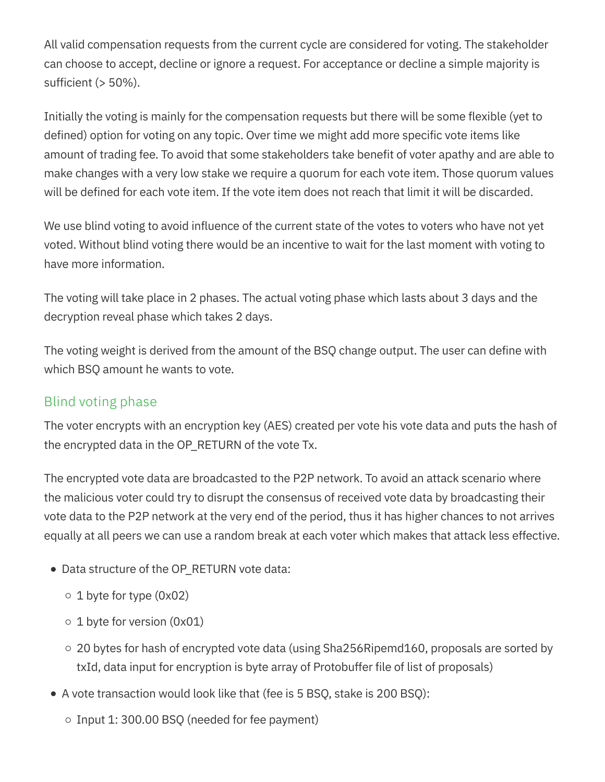All valid compensation requests from the current cycle are considered for voting. The stakeholder can choose to accept, decline or ignore a request. For acceptance or decline a simple majority is sufficient (> 50%).

Initially the voting is mainly for the compensation requests but there will be some flexible (yet to defined) option for voting on any topic. Over time we might add more specific vote items like amount of trading fee. To avoid that some stakeholders take benefit of voter apathy and are able to make changes with a very low stake we require a quorum for each vote item. Those quorum values will be defined for each vote item. If the vote item does not reach that limit it will be discarded.

We use blind voting to avoid influence of the current state of the votes to voters who have not yet voted. Without blind voting there would be an incentive to wait for the last moment with voting to have more information.

The voting will take place in 2 phases. The actual voting phase which lasts about 3 days and the decryption reveal phase which takes 2 days.

The voting weight is derived from the amount of the BSQ change output. The user can define with which BSQ amount he wants to vote.

#### Blind voting phase

The voter encrypts with an encryption key (AES) created per vote his vote data and puts the hash of the encrypted data in the OP\_RETURN of the vote Tx.

The encrypted vote data are broadcasted to the P2P network. To avoid an attack scenario where the malicious voter could try to disrupt the consensus of received vote data by broadcasting their vote data to the P2P network at the very end of the period, thus it has higher chances to not arrives equally at all peers we can use a random break at each voter which makes that attack less effective.

- Data structure of the OP\_RETURN vote data:
	- $\circ$  1 byte for type (0x02)
	- $\circ$  1 byte for version (0x01)
	- $\circ$  20 bytes for hash of encrypted vote data (using Sha256Ripemd160, proposals are sorted by txId, data input for encryption is byte array of Protobuffer file of list of proposals)
- A vote transaction would look like that (fee is 5 BSQ, stake is 200 BSQ):
	- $\circ$  Input 1: 300.00 BSQ (needed for fee payment)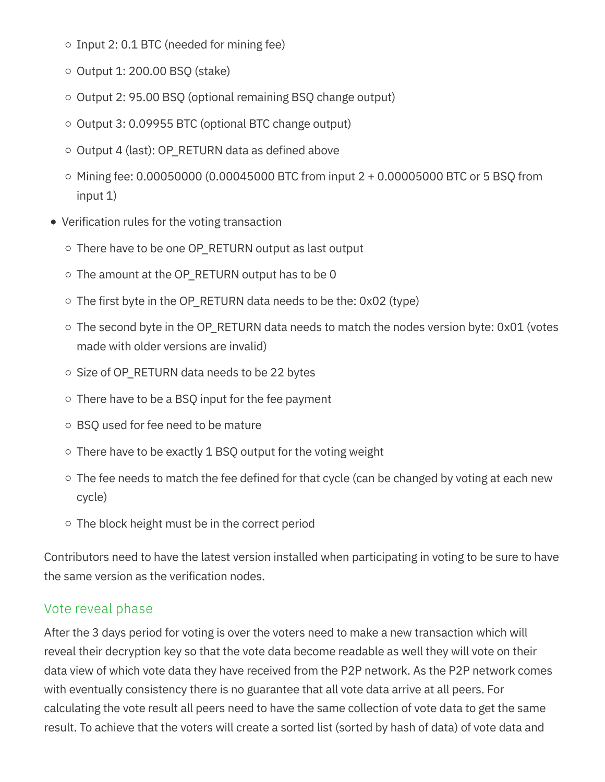- $\circ$  Input 2: 0.1 BTC (needed for mining fee)
- $\circ$  Output 1: 200.00 BSQ (stake)
- $\circ$  Output 2: 95.00 BSQ (optional remaining BSQ change output)
- $\circ$  Output 3: 0.09955 BTC (optional BTC change output)
- $\circ$  Output 4 (last): OP\_RETURN data as defined above
- $\circ$  Mining fee: 0.00050000 (0.00045000 BTC from input 2 + 0.00005000 BTC or 5 BSQ from input 1)
- Verification rules for the voting transaction
	- There have to be one OP\_RETURN output as last output
	- $\circ$  The amount at the OP\_RETURN output has to be 0
	- $\circ$  The first byte in the OP\_RETURN data needs to be the: 0x02 (type)
	- $\circ$  The second byte in the OP\_RETURN data needs to match the nodes version byte: 0x01 (votes made with older versions are invalid)
	- $\circ$  Size of OP\_RETURN data needs to be 22 bytes
	- $\circ$  There have to be a BSQ input for the fee payment
	- BSQ used for fee need to be mature
	- $\circ$  There have to be exactly 1 BSQ output for the voting weight
	- $\circ$  The fee needs to match the fee defined for that cycle (can be changed by voting at each new cycle)
	- $\circ$  The block height must be in the correct period

Contributors need to have the latest version installed when participating in voting to be sure to have the same version as the verification nodes.

#### Vote reveal phase

After the 3 days period for voting is over the voters need to make a new transaction which will reveal their decryption key so that the vote data become readable as well they will vote on their data view of which vote data they have received from the P2P network. As the P2P network comes with eventually consistency there is no guarantee that all vote data arrive at all peers. For calculating the vote result all peers need to have the same collection of vote data to get the same result. To achieve that the voters will create a sorted list (sorted by hash of data) of vote data and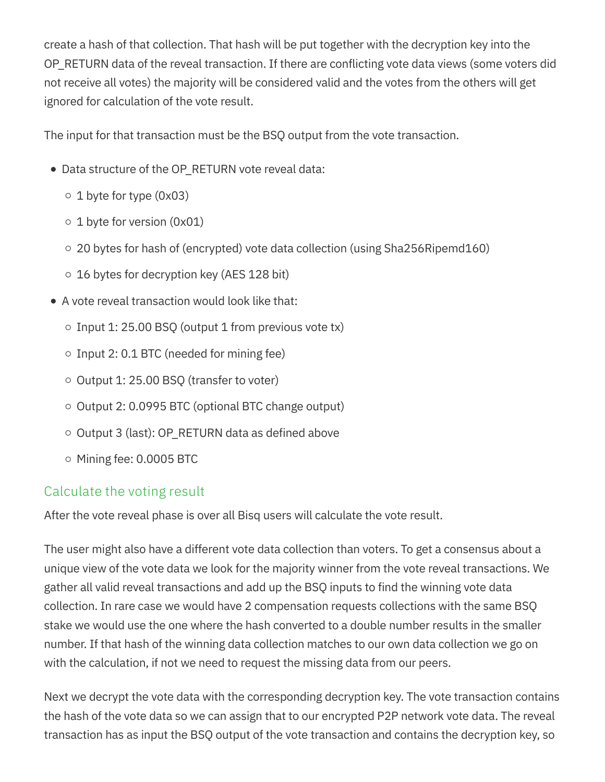create a hash of that collection. That hash will be put together with the decryption key into the OP\_RETURN data of the reveal transaction. If there are conflicting vote data views (some voters did not receive all votes) the majority will be considered valid and the votes from the others will get ignored for calculation of the vote result.

The input for that transaction must be the BSQ output from the vote transaction.

- Data structure of the OP\_RETURN vote reveal data:
	- $\circ$  1 byte for type (0x03)
	- $\circ$  1 byte for version (0x01)
	- $\circ$  20 bytes for hash of (encrypted) vote data collection (using Sha256Ripemd160)
	- $\circ$  16 bytes for decryption key (AES 128 bit)
- A vote reveal transaction would look like that:
	- $\circ$  Input 1: 25.00 BSQ (output 1 from previous vote tx)
	- $\circ$  Input 2: 0.1 BTC (needed for mining fee)
	- $\circ$  Output 1: 25.00 BSQ (transfer to voter)
	- $\circ$  Output 2: 0.0995 BTC (optional BTC change output)
	- $\circ$  Output 3 (last): OP\_RETURN data as defined above
	- $\circ$  Mining fee: 0.0005 BTC

#### Calculate the voting result

After the vote reveal phase is over all Bisq users will calculate the vote result.

The user might also have a different vote data collection than voters. To get a consensus about a unique view of the vote data we look for the majority winner from the vote reveal transactions. We gather all valid reveal transactions and add up the BSQ inputs to find the winning vote data collection. In rare case we would have 2 compensation requests collections with the same BSQ stake we would use the one where the hash converted to a double number results in the smaller number. If that hash of the winning data collection matches to our own data collection we go on with the calculation, if not we need to request the missing data from our peers.

Next we decrypt the vote data with the corresponding decryption key. The vote transaction contains the hash of the vote data so we can assign that to our encrypted P2P network vote data. The reveal transaction has as input the BSQ output of the vote transaction and contains the decryption key, so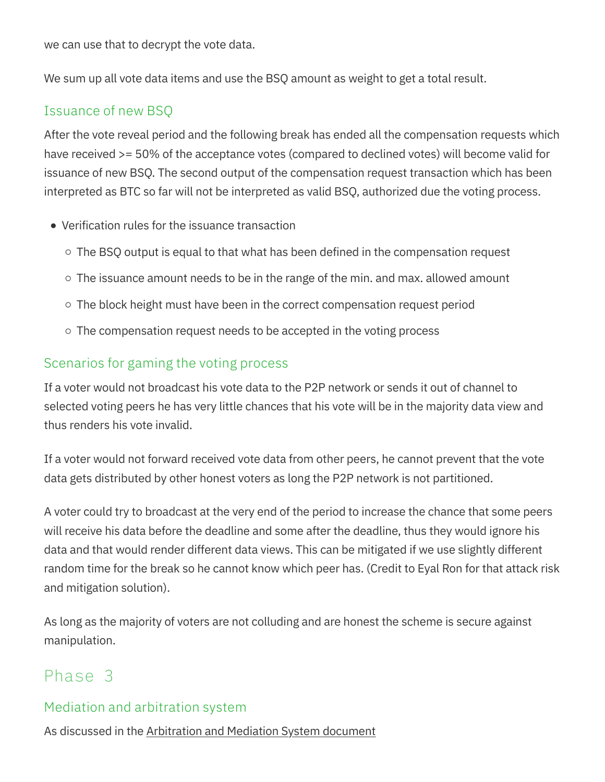we can use that to decrypt the vote data.

We sum up all vote data items and use the BSQ amount as weight to get a total result.

#### Issuance of new BSQ

After the vote reveal period and the following break has ended all the compensation requests which have received >= 50% of the acceptance votes (compared to declined votes) will become valid for issuance of new BSQ. The second output of the compensation request transaction which has been interpreted as BTC so far will not be interpreted as valid BSQ, authorized due the voting process.

- Verification rules for the issuance transaction
	- $\circ$  The BSQ output is equal to that what has been defined in the compensation request
	- $\circ$  The issuance amount needs to be in the range of the min. and max. allowed amount
	- $\circ$  The block height must have been in the correct compensation request period
	- $\circ$  The compensation request needs to be accepted in the voting process

#### Scenarios for gaming the voting process

If a voter would not broadcast his vote data to the P2P network or sends it out of channel to selected voting peers he has very little chances that his vote will be in the majority data view and thus renders his vote invalid.

If a voter would not forward received vote data from other peers, he cannot prevent that the vote data gets distributed by other honest voters as long the P2P network is not partitioned.

A voter could try to broadcast at the very end of the period to increase the chance that some peers will receive his data before the deadline and some after the deadline, thus they would ignore his data and that would render different data views. This can be mitigated if we use slightly different random time for the break so he cannot know which peer has. (Credit to Eyal Ron for that attack risk and mitigation solution).

As long as the majority of voters are not colluding and are honest the scheme is secure against manipulation.

### Phase 3

#### Mediation and arbitration system

As discussed in the Arbitration and Mediation System document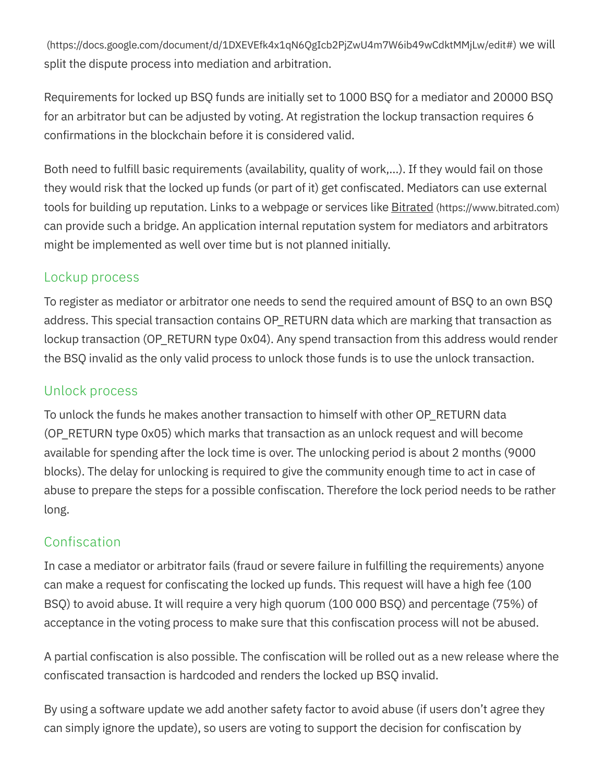(https://docs.google.com/document/d/1DXEVEfk4x1qN6QgIcb2PjZwU4m7W6ib49wCdktMMjLw/edit#) we will split the dispute process into mediation and arbitration.

Requirements for locked up BSQ funds are initially set to 1000 BSQ for a mediator and 20000 BSQ for an arbitrator but can be adjusted by voting. At registration the lockup transaction requires 6 confirmations in the blockchain before it is considered valid.

Both need to fulfill basic requirements (availability, quality of work,…). If they would fail on those they would risk that the locked up funds (or part of it) get confiscated. Mediators can use external tools for building up reputation. Links to a webpage or services like **Bitrated** (https://www.bitrated.com) can provide such a bridge. An application internal reputation system for mediators and arbitrators might be implemented as well over time but is not planned initially.

#### Lockup process

To register as mediator or arbitrator one needs to send the required amount of BSQ to an own BSQ address. This special transaction contains OP\_RETURN data which are marking that transaction as lockup transaction (OP\_RETURN type 0x04). Any spend transaction from this address would render the BSQ invalid as the only valid process to unlock those funds is to use the unlock transaction.

#### Unlock process

To unlock the funds he makes another transaction to himself with other OP\_RETURN data (OP\_RETURN type 0x05) which marks that transaction as an unlock request and will become available for spending after the lock time is over. The unlocking period is about 2 months (9000 blocks). The delay for unlocking is required to give the community enough time to act in case of abuse to prepare the steps for a possible confiscation. Therefore the lock period needs to be rather long.

#### Confiscation

In case a mediator or arbitrator fails (fraud or severe failure in fulfilling the requirements) anyone can make a request for confiscating the locked up funds. This request will have a high fee (100 BSQ) to avoid abuse. It will require a very high quorum (100 000 BSQ) and percentage (75%) of acceptance in the voting process to make sure that this confiscation process will not be abused.

A partial confiscation is also possible. The confiscation will be rolled out as a new release where the confiscated transaction is hardcoded and renders the locked up BSQ invalid.

By using a software update we add another safety factor to avoid abuse (if users don't agree they can simply ignore the update), so users are voting to support the decision for confiscation by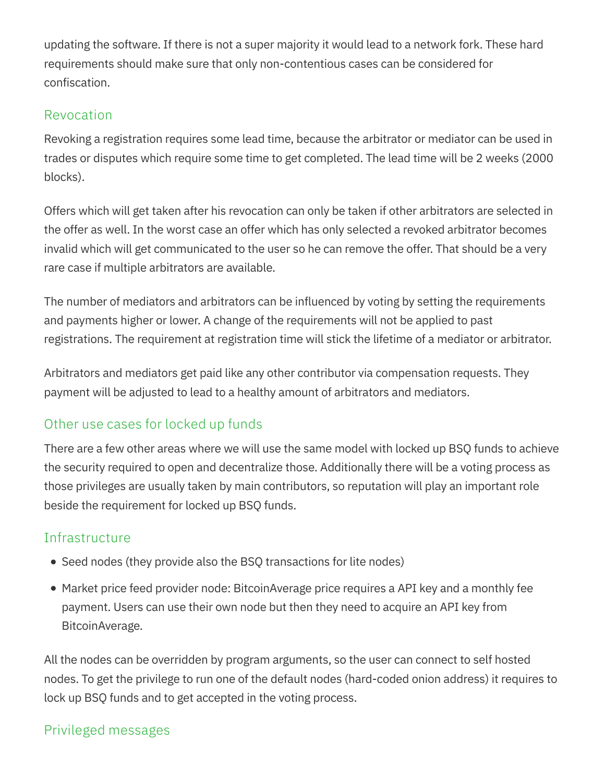updating the software. If there is not a super majority it would lead to a network fork. These hard requirements should make sure that only non-contentious cases can be considered for confiscation.

#### Revocation

Revoking a registration requires some lead time, because the arbitrator or mediator can be used in trades or disputes which require some time to get completed. The lead time will be 2 weeks (2000 blocks).

Offers which will get taken after his revocation can only be taken if other arbitrators are selected in the offer as well. In the worst case an offer which has only selected a revoked arbitrator becomes invalid which will get communicated to the user so he can remove the offer. That should be a very rare case if multiple arbitrators are available.

The number of mediators and arbitrators can be influenced by voting by setting the requirements and payments higher or lower. A change of the requirements will not be applied to past registrations. The requirement at registration time will stick the lifetime of a mediator or arbitrator.

Arbitrators and mediators get paid like any other contributor via compensation requests. They payment will be adjusted to lead to a healthy amount of arbitrators and mediators.

#### Other use cases for locked up funds

There are a few other areas where we will use the same model with locked up BSQ funds to achieve the security required to open and decentralize those. Additionally there will be a voting process as those privileges are usually taken by main contributors, so reputation will play an important role beside the requirement for locked up BSQ funds.

#### **Infrastructure**

- Seed nodes (they provide also the BSQ transactions for lite nodes)
- Market price feed provider node: BitcoinAverage price requires a API key and a monthly fee payment. Users can use their own node but then they need to acquire an API key from BitcoinAverage.

All the nodes can be overridden by program arguments, so the user can connect to self hosted nodes. To get the privilege to run one of the default nodes (hard-coded onion address) it requires to lock up BSQ funds and to get accepted in the voting process.

#### Privileged messages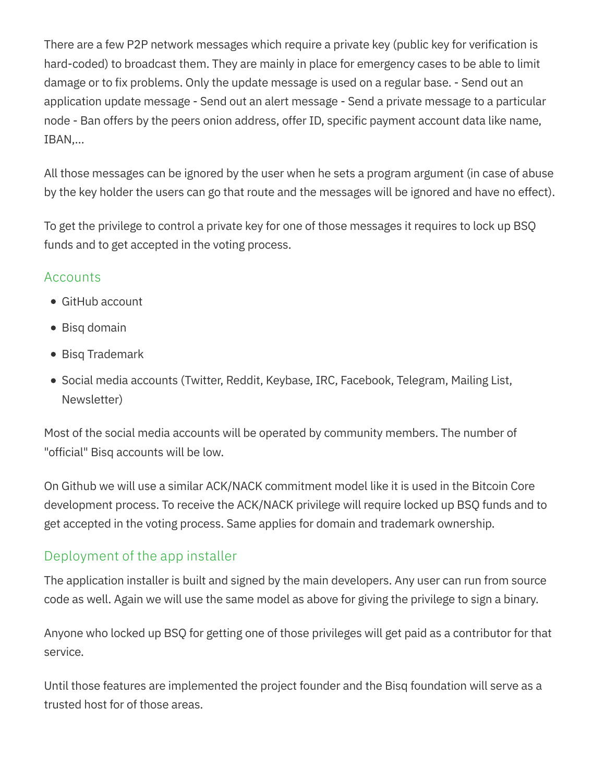There are a few P2P network messages which require a private key (public key for verification is hard-coded) to broadcast them. They are mainly in place for emergency cases to be able to limit damage or to fix problems. Only the update message is used on a regular base. - Send out an application update message - Send out an alert message - Send a private message to a particular node - Ban offers by the peers onion address, offer ID, specific payment account data like name, IBAN,…

All those messages can be ignored by the user when he sets a program argument (in case of abuse by the key holder the users can go that route and the messages will be ignored and have no effect).

To get the privilege to control a private key for one of those messages it requires to lock up BSQ funds and to get accepted in the voting process.

#### **Accounts**

- GitHub account
- Bisq domain
- **Bisg Trademark**
- Social media accounts (Twitter, Reddit, Keybase, IRC, Facebook, Telegram, Mailing List, Newsletter)

Most of the social media accounts will be operated by community members. The number of "official" Bisq accounts will be low.

On Github we will use a similar ACK/NACK commitment model like it is used in the Bitcoin Core development process. To receive the ACK/NACK privilege will require locked up BSQ funds and to get accepted in the voting process. Same applies for domain and trademark ownership.

#### Deployment of the app installer

The application installer is built and signed by the main developers. Any user can run from source code as well. Again we will use the same model as above for giving the privilege to sign a binary.

Anyone who locked up BSQ for getting one of those privileges will get paid as a contributor for that service.

Until those features are implemented the project founder and the Bisq foundation will serve as a trusted host for of those areas.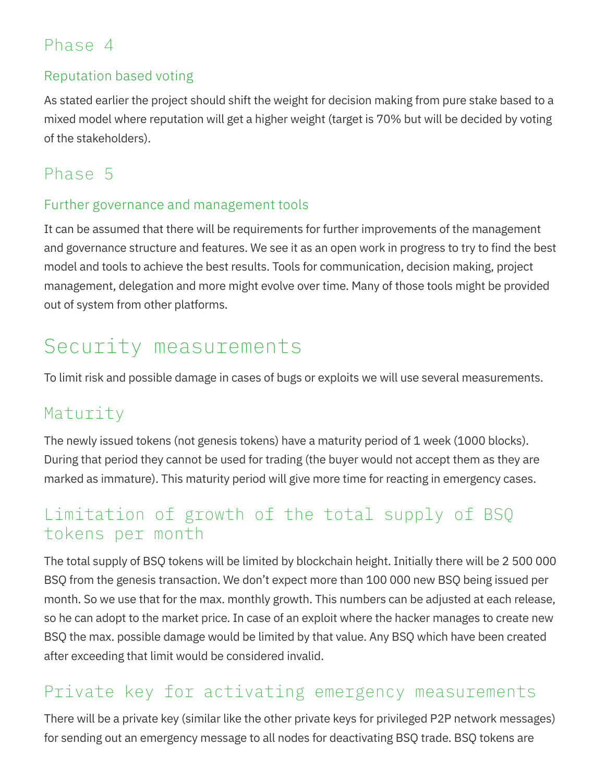## Phase 4

#### Reputation based voting

As stated earlier the project should shift the weight for decision making from pure stake based to a mixed model where reputation will get a higher weight (target is 70% but will be decided by voting of the stakeholders).

## Phase 5

#### Further governance and management tools

It can be assumed that there will be requirements for further improvements of the management and governance structure and features. We see it as an open work in progress to try to find the best model and tools to achieve the best results. Tools for communication, decision making, project management, delegation and more might evolve over time. Many of those tools might be provided out of system from other platforms.

## Security measurements

To limit risk and possible damage in cases of bugs or exploits we will use several measurements.

### Maturity

The newly issued tokens (not genesis tokens) have a maturity period of 1 week (1000 blocks). During that period they cannot be used for trading (the buyer would not accept them as they are marked as immature). This maturity period will give more time for reacting in emergency cases.

## Limitation of growth of the total supply of BSQ tokens per month

The total supply of BSQ tokens will be limited by blockchain height. Initially there will be 2 500 000 BSQ from the genesis transaction. We don't expect more than 100 000 new BSQ being issued per month. So we use that for the max. monthly growth. This numbers can be adjusted at each release, so he can adopt to the market price. In case of an exploit where the hacker manages to create new BSQ the max. possible damage would be limited by that value. Any BSQ which have been created after exceeding that limit would be considered invalid.

### Private key for activating emergency measurements

There will be a private key (similar like the other private keys for privileged P2P network messages) for sending out an emergency message to all nodes for deactivating BSQ trade. BSQ tokens are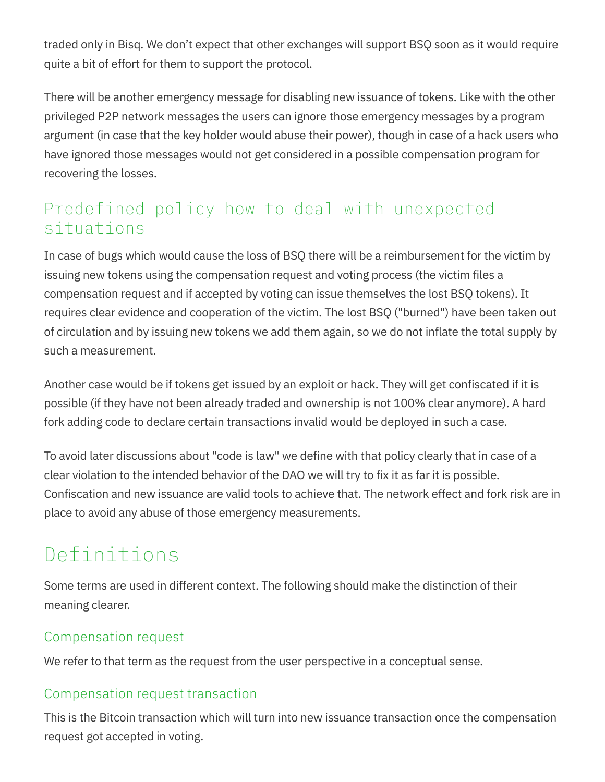traded only in Bisq. We don't expect that other exchanges will support BSQ soon as it would require quite a bit of effort for them to support the protocol.

There will be another emergency message for disabling new issuance of tokens. Like with the other privileged P2P network messages the users can ignore those emergency messages by a program argument (in case that the key holder would abuse their power), though in case of a hack users who have ignored those messages would not get considered in a possible compensation program for recovering the losses.

## Predefined policy how to deal with unexpected situations

In case of bugs which would cause the loss of BSQ there will be a reimbursement for the victim by issuing new tokens using the compensation request and voting process (the victim files a compensation request and if accepted by voting can issue themselves the lost BSQ tokens). It requires clear evidence and cooperation of the victim. The lost BSQ ("burned") have been taken out of circulation and by issuing new tokens we add them again, so we do not inflate the total supply by such a measurement.

Another case would be if tokens get issued by an exploit or hack. They will get confiscated if it is possible (if they have not been already traded and ownership is not 100% clear anymore). A hard fork adding code to declare certain transactions invalid would be deployed in such a case.

To avoid later discussions about "code is law" we define with that policy clearly that in case of a clear violation to the intended behavior of the DAO we will try to fix it as far it is possible. Confiscation and new issuance are valid tools to achieve that. The network effect and fork risk are in place to avoid any abuse of those emergency measurements.

## Definitions

Some terms are used in different context. The following should make the distinction of their meaning clearer.

#### Compensation request

We refer to that term as the request from the user perspective in a conceptual sense.

#### Compensation request transaction

This is the Bitcoin transaction which will turn into new issuance transaction once the compensation request got accepted in voting.